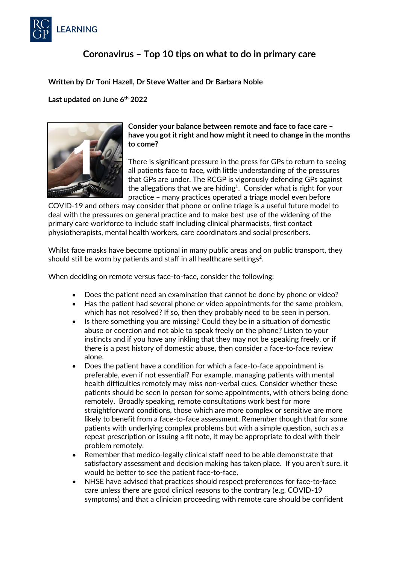

# **Coronavirus – Top 10 tips on what to do in primary care**

# **Written by Dr Toni Hazell, Dr Steve Walter and Dr Barbara Noble**

**Last updated on June 6th 2022**



**Consider your balance between remote and face to face care – have you got it right and how might it need to change in the months to come?** 

There is significant pressure in the press for GPs to return to seeing all patients face to face, with little understanding of the pressures that GPs are under. The RCGP is vigorously defending GPs against the allegations that we are hiding<sup>1</sup>. Consider what is right for your practice – many practices operated a triage model even before

COVID-19 and others may consider that phone or online triage is a useful future model to deal with the pressures on general practice and to make best use of the widening of the primary care workforce to include staff including clinical pharmacists, first contact physiotherapists, mental health workers, care coordinators and social prescribers.

Whilst face masks have become optional in many public areas and on public transport, they should still be worn by patients and staff in all healthcare settings<sup>2</sup>.

When deciding on remote versus face-to-face, consider the following:

- Does the patient need an examination that cannot be done by phone or video?
- Has the patient had several phone or video appointments for the same problem, which has not resolved? If so, then they probably need to be seen in person.
- Is there something you are missing? Could they be in a situation of domestic abuse or coercion and not able to speak freely on the phone? Listen to your instincts and if you have any inkling that they may not be speaking freely, or if there is a past history of domestic abuse, then consider a face-to-face review alone.
- Does the patient have a condition for which a face-to-face appointment is preferable, even if not essential? For example, managing patients with mental health difficulties remotely may miss non-verbal cues. Consider whether these patients should be seen in person for some appointments, with others being done remotely. Broadly speaking, remote consultations work best for more straightforward conditions, those which are more complex or sensitive are more likely to benefit from a face-to-face assessment. Remember though that for some patients with underlying complex problems but with a simple question, such as a repeat prescription or issuing a fit note, it may be appropriate to deal with their problem remotely.
- Remember that medico-legally clinical staff need to be able demonstrate that satisfactory assessment and decision making has taken place. If you aren't sure, it would be better to see the patient face-to-face.
- NHSE have advised that practices should respect preferences for face-to-face care unless there are good clinical reasons to the contrary (e.g. COVID-19 symptoms) and that a clinician proceeding with remote care should be confident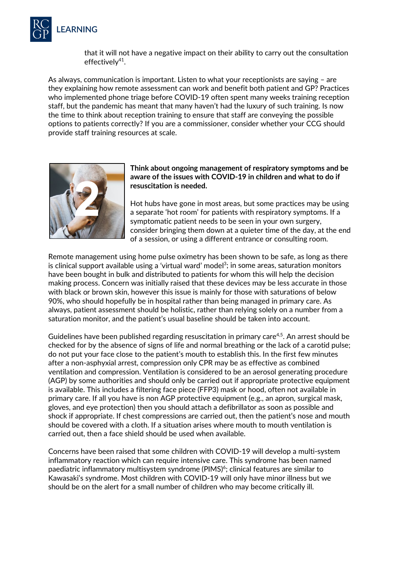

that it will not have a negative impact on their ability to carry out the consultation effectively $41$ .

As always, communication is important. Listen to what your receptionists are saying – are they explaining how remote assessment can work and benefit both patient and GP? Practices who implemented phone triage before COVID-19 often spent many weeks training reception staff, but the pandemic has meant that many haven't had the luxury of such training. Is now the time to think about reception training to ensure that staff are conveying the possible options to patients correctly? If you are a commissioner, consider whether your CCG should provide staff training resources at scale.



#### **Think about ongoing management of respiratory symptoms and be aware of the issues with COVID-19 in children and what to do if resuscitation is needed.**

Hot hubs have gone in most areas, but some practices may be using a separate 'hot room' for patients with respiratory symptoms. If a symptomatic patient needs to be seen in your own surgery, consider bringing them down at a quieter time of the day, at the end of a session, or using a different entrance or consulting room.

Remote management using home pulse oximetry has been shown to be safe, as long as there is clinical support available using a 'virtual ward' model<sup>3</sup>; in some areas, saturation monitors have been bought in bulk and distributed to patients for whom this will help the decision making process. Concern was initially raised that these devices may be less accurate in those with black or brown skin, however this issue is mainly for those with saturations of below 90%, who should hopefully be in hospital rather than being managed in primary care. As always, patient assessment should be holistic, rather than relying solely on a number from a saturation monitor, and the patient's usual baseline should be taken into account.

Guidelines have been published regarding resuscitation in primary care<sup>4,5</sup>. An arrest should be checked for by the absence of signs of life and normal breathing or the lack of a carotid pulse; do not put your face close to the patient's mouth to establish this. In the first few minutes after a non-asphyxial arrest, compression only CPR may be as effective as combined ventilation and compression. Ventilation is considered to be an aerosol generating procedure (AGP) by some authorities and should only be carried out if appropriate protective equipment is available. This includes a filtering face piece (FFP3) mask or hood, often not available in primary care. If all you have is non AGP protective equipment (e.g., an apron, surgical mask, gloves, and eye protection) then you should attach a defibrillator as soon as possible and shock if appropriate. If chest compressions are carried out, then the patient's nose and mouth should be covered with a cloth. If a situation arises where mouth to mouth ventilation is carried out, then a face shield should be used when available.

Concerns have been raised that some children with COVID-19 will develop a multi-system inflammatory reaction which can require intensive care. This syndrome has been named paediatric inflammatory multisystem syndrome  $(PIMS)^6$ ; clinical features are similar to Kawasaki's syndrome. Most children with COVID-19 will only have minor illness but we should be on the alert for a small number of children who may become critically ill.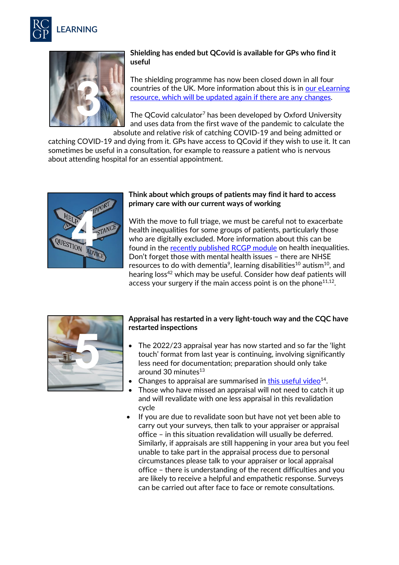



# **Shielding has ended but QCovid is available for GPs who find it useful**

The shielding programme has now been closed down in all four countries of the UK. More information about this is in [our eLearning](https://elearning.rcgp.org.uk/course/view.php?id=377)  [resource,](https://elearning.rcgp.org.uk/course/view.php?id=377) which will be updated again if there are any changes.

The QCovid calculator<sup>7</sup> has been developed by Oxford University and uses data from the first wave of the pandemic to calculate the absolute and relative risk of catching COVID-19 and being admitted or

catching COVID-19 and dying from it. GPs have access to QCovid if they wish to use it. It can sometimes be useful in a consultation, for example to reassure a patient who is nervous about attending hospital for an essential appointment.



### **Think about which groups of patients may find it hard to access primary care with our current ways of working**

With the move to full triage, we must be careful not to exacerbate health inequalities for some groups of patients, particularly those who are digitally excluded. More information about this can be found in the [recently published RCGP module](https://elearning.rcgp.org.uk/course/view.php?id=499) on health inequalities. Don't forget those with mental health issues – there are NHSE resources to do with dementia<sup>9</sup>, learning disabilities<sup>10</sup> autism<sup>10</sup>, and hearing loss<sup>42</sup> which may be useful. Consider how deaf patients will access your surgery if the main access point is on the phone  $11,12$ .



# **Appraisal has restarted in a very light-touch way and the CQC have restarted inspections**

- The 2022/23 appraisal year has now started and so far the 'light touch' format from last year is continuing, involving significantly less need for documentation; preparation should only take around 30 minutes<sup>13</sup>
- Changes to appraisal are summarised in this useful video $14$ .
- Those who have missed an appraisal will not need to catch it up and will revalidate with one less appraisal in this revalidation cycle
- If you are due to revalidate soon but have not yet been able to carry out your surveys, then talk to your appraiser or appraisal office – in this situation revalidation will usually be deferred. Similarly, if appraisals are still happening in your area but you feel unable to take part in the appraisal process due to personal circumstances please talk to your appraiser or local appraisal office – there is understanding of the recent difficulties and you are likely to receive a helpful and empathetic response. Surveys can be carried out after face to face or remote consultations.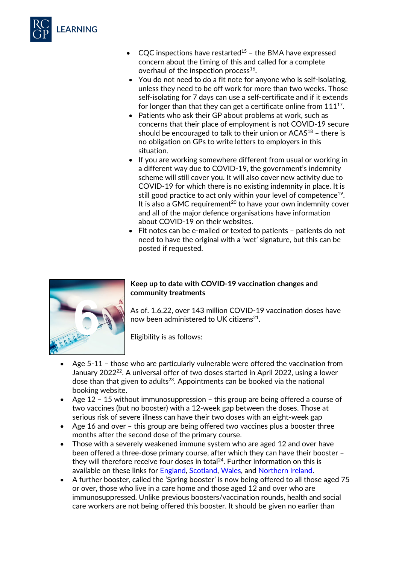

- CQC inspections have restarted<sup>15</sup> the BMA have expressed concern about the timing of this and called for a complete overhaul of the inspection process<sup>16</sup>.
- You do not need to do a fit note for anyone who is self-isolating, unless they need to be off work for more than two weeks. Those self-isolating for 7 days can use a self-certificate and if it extends for longer than that they can get a certificate online from 111<sup>17</sup>.
- Patients who ask their GP about problems at work, such as concerns that their place of employment is not COVID-19 secure should be encouraged to talk to their union or  $ACAS<sup>18</sup>$  - there is no obligation on GPs to write letters to employers in this situation.
- If you are working somewhere different from usual or working in a different way due to COVID-19, the government's indemnity scheme will still cover you. It will also cover new activity due to COVID-19 for which there is no existing indemnity in place. It is still good practice to act only within your level of competence<sup>19</sup>. It is also a GMC requirement<sup>20</sup> to have your own indemnity cover and all of the major defence organisations have information about COVID-19 on their websites.
- Fit notes can be e-mailed or texted to patients patients do not need to have the original with a 'wet' signature, but this can be posted if requested.



# **Keep up to date with COVID-19 vaccination changes and community treatments**

As of. 1.6.22, over 143 million COVID-19 vaccination doses have now been administered to UK citizens<sup>21</sup>.

Eligibility is as follows:

- Age 5-11 those who are particularly vulnerable were offered the vaccination from January 2022<sup>22</sup>. A universal offer of two doses started in April 2022, using a lower dose than that given to adults<sup>23</sup>. Appointments can be booked via the national booking website.
- Age 12 15 without immunosuppression this group are being offered a course of two vaccines (but no booster) with a 12-week gap between the doses. Those at serious risk of severe illness can have their two doses with an eight-week gap
- Age 16 and over this group are being offered two vaccines plus a booster three months after the second dose of the primary course.
- Those with a severely weakened immune system who are aged 12 and over have been offered a three-dose primary course, after which they can have their booster – they will therefore receive four doses in total $24$ . Further information on this is available on these links for [England,](https://www.england.nhs.uk/coronavirus/wp-content/uploads/sites/52/2021/09/C1399-Updated-JCVI-guidance-for-vaccinating-immunosuppressed-individuals-with-third-primary-dose.pdf) [Scotland,](https://www.mygov.scot/covid-highest-risk/covid-vaccinations) [Wales,](https://gov.wales/covid-19-vaccination-programme-update-21-september-2021#section-80569) and [Northern Ireland.](https://www.nidirect.gov.uk/articles/get-covid-19-vaccination-northern-ireland#toc-3)
- A further booster, called the 'Spring booster' is now being offered to all those aged 75 or over, those who live in a care home and those aged 12 and over who are immunosuppressed. Unlike previous boosters/vaccination rounds, health and social care workers are not being offered this booster. It should be given no earlier than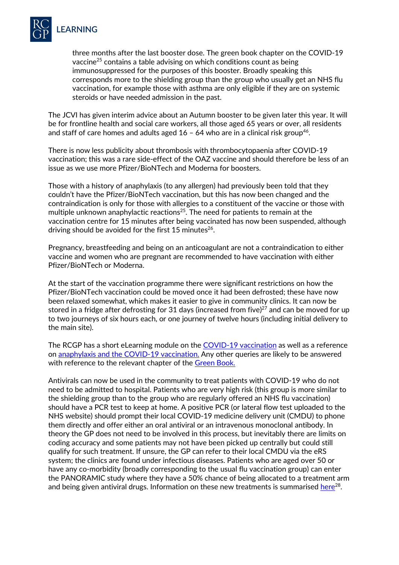

three months after the last booster dose. The green book chapter on the COVID-19 vaccine25 contains a table advising on which conditions count as being immunosuppressed for the purposes of this booster. Broadly speaking this corresponds more to the shielding group than the group who usually get an NHS flu vaccination, for example those with asthma are only eligible if they are on systemic steroids or have needed admission in the past.

The JCVI has given interim advice about an Autumn booster to be given later this year. It will be for frontline health and social care workers, all those aged 65 years or over, all residents and staff of care homes and adults aged  $16 - 64$  who are in a clinical risk group<sup>46</sup>.

There is now less publicity about thrombosis with thrombocytopaenia after COVID-19 vaccination; this was a rare side-effect of the OAZ vaccine and should therefore be less of an issue as we use more Pfizer/BioNTech and Moderna for boosters.

Those with a history of anaphylaxis (to any allergen) had previously been told that they couldn't have the Pfizer/BioNTech vaccination, but this has now been changed and the contraindication is only for those with allergies to a constituent of the vaccine or those with multiple unknown anaphylactic reactions<sup>25</sup>. The need for patients to remain at the vaccination centre for 15 minutes after being vaccinated has now been suspended, although driving should be avoided for the first 15 minutes<sup>26</sup>.

Pregnancy, breastfeeding and being on an anticoagulant are not a contraindication to either vaccine and women who are pregnant are recommended to have vaccination with either Pfizer/BioNTech or Moderna.

At the start of the vaccination programme there were significant restrictions on how the Pfizer/BioNTech vaccination could be moved once it had been defrosted; these have now been relaxed somewhat, which makes it easier to give in community clinics. It can now be stored in a fridge after defrosting for 31 days (increased from five) $27$  and can be moved for up to two journeys of six hours each, or one journey of twelve hours (including initial delivery to the main site).

The RCGP has a short eLearning module on the [COVID-19 vaccination](https://elearning.rcgp.org.uk/course/view.php?id=463) as well as a reference on [anaphylaxis and the COVID-19 vaccination.](https://elearning.rcgp.org.uk/mod/page/view.php?id=11672) Any other queries are likely to be answered with reference to the relevant chapter of the Green Book.

Antivirals can now be used in the community to treat patients with COVID-19 who do not need to be admitted to hospital. Patients who are very high risk (this group is more similar to the shielding group than to the group who are regularly offered an NHS flu vaccination) should have a PCR test to keep at home. A positive PCR (or lateral flow test uploaded to the NHS website) should prompt their local COVID-19 medicine delivery unit (CMDU) to phone them directly and offer either an oral antiviral or an intravenous monoclonal antibody. In theory the GP does not need to be involved in this process, but inevitably there are limits on coding accuracy and some patients may not have been picked up centrally but could still qualify for such treatment. If unsure, the GP can refer to their local CMDU via the eRS system; the clinics are found under infectious diseases. Patients who are aged over 50 or have any co-morbidity (broadly corresponding to the usual flu vaccination group) can enter the PANORAMIC study where they have a 50% chance of being allocated to a treatment arm and being given antiviral drugs. Information on these new treatments is summarised  $here<sup>28</sup>$ .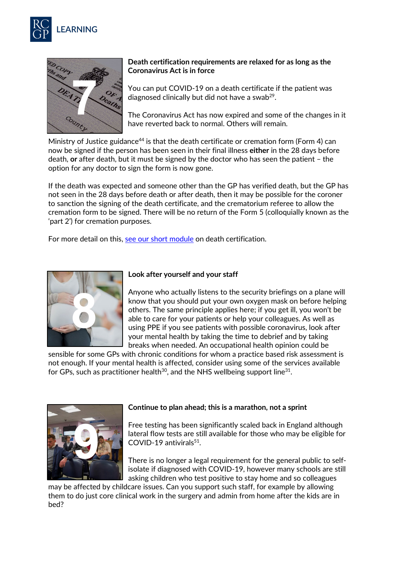



## **Death certification requirements are relaxed for as long as the Coronavirus Act is in force**

You can put COVID-19 on a death certificate if the patient was diagnosed clinically but did not have a swab $2^9$ .

The Coronavirus Act has now expired and some of the changes in it have reverted back to normal. Others will remain.

Ministry of Justice guidance<sup>44</sup> is that the death certificate or cremation form (Form 4) can now be signed if the person has been seen in their final illness **either** in the 28 days before death, **or** after death, but it must be signed by the doctor who has seen the patient – the option for any doctor to sign the form is now gone.

If the death was expected and someone other than the GP has verified death, but the GP has not seen in the 28 days before death or after death, then it may be possible for the coroner to sanction the signing of the death certificate, and the crematorium referee to allow the cremation form to be signed. There will be no return of the Form 5 (colloquially known as the 'part 2') for cremation purposes.

For more detail on this, [see our short module](https://elearning.rcgp.org.uk/course/view.php?id=378) on death certification.



#### **Look after yourself and your staff**

Anyone who actually listens to the security briefings on a plane will know that you should put your own oxygen mask on before helping others. The same principle applies here; if you get ill, you won't be able to care for your patients or help your colleagues. As well as using PPE if you see patients with possible coronavirus, look after your mental health by taking the time to debrief and by taking breaks when needed. An occupational health opinion could be

sensible for some GPs with chronic conditions for whom a practice based risk assessment is not enough. If your mental health is affected, consider using some of the services available for GPs, such as practitioner health<sup>30</sup>, and the NHS wellbeing support line<sup>31</sup>.



#### **Continue to plan ahead; this is a marathon, not a sprint**

Free testing has been significantly scaled back in England although lateral flow tests are still available for those who may be eligible for COVID-19 antivirals<sup>51</sup>.

There is no longer a legal requirement for the general public to selfisolate if diagnosed with COVID-19, however many schools are still asking children who test positive to stay home and so colleagues

may be affected by childcare issues. Can you support such staff, for example by allowing them to do just core clinical work in the surgery and admin from home after the kids are in bed?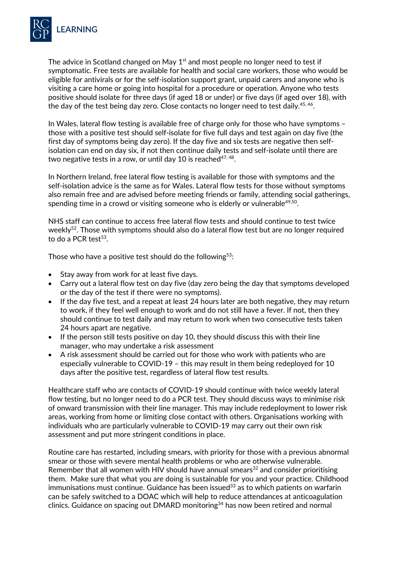

The advice in Scotland changed on May  $1<sup>st</sup>$  and most people no longer need to test if symptomatic. Free tests are available for health and social care workers, those who would be eligible for antivirals or for the self-isolation support grant, unpaid carers and anyone who is visiting a care home or going into hospital for a procedure or operation. Anyone who tests positive should isolate for three days (if aged 18 or under) or five days (if aged over 18), with the day of the test being day zero. Close contacts no longer need to test daily.<sup>45,46</sup>.

In Wales, lateral flow testing is available free of charge only for those who have symptoms – those with a positive test should self-isolate for five full days and test again on day five (the first day of symptoms being day zero). If the day five and six tests are negative then selfisolation can end on day six, if not then continue daily tests and self-isolate until there are two negative tests in a row, or until day 10 is reached<sup>47, 48</sup>.

In Northern Ireland, free lateral flow testing is available for those with symptoms and the self-isolation advice is the same as for Wales. Lateral flow tests for those without symptoms also remain free and are advised before meeting friends or family, attending social gatherings, spending time in a crowd or visiting someone who is elderly or vulnerable $49,50$ .

NHS staff can continue to access free lateral flow tests and should continue to test twice weekly<sup>52</sup>. Those with symptoms should also do a lateral flow test but are no longer required to do a PCR test $53$ .

Those who have a positive test should do the following<sup>53</sup>:

- Stay away from work for at least five days.
- Carry out a lateral flow test on day five (day zero being the day that symptoms developed or the day of the test if there were no symptoms).
- If the day five test, and a repeat at least 24 hours later are both negative, they may return to work, if they feel well enough to work and do not still have a fever. If not, then they should continue to test daily and may return to work when two consecutive tests taken 24 hours apart are negative.
- If the person still tests positive on day 10, they should discuss this with their line manager, who may undertake a risk assessment
- A risk assessment should be carried out for those who work with patients who are especially vulnerable to COVID-19 – this may result in them being redeployed for 10 days after the positive test, regardless of lateral flow test results.

Healthcare staff who are contacts of COVID-19 should continue with twice weekly lateral flow testing, but no longer need to do a PCR test. They should discuss ways to minimise risk of onward transmission with their line manager. This may include redeployment to lower risk areas, working from home or limiting close contact with others. Organisations working with individuals who are particularly vulnerable to COVID-19 may carry out their own risk assessment and put more stringent conditions in place.

Routine care has restarted, including smears, with priority for those with a previous abnormal smear or those with severe mental health problems or who are otherwise vulnerable. Remember that all women with HIV should have annual smears<sup>32</sup> and consider prioritising them. Make sure that what you are doing is sustainable for you and your practice. Childhood  $immunisations must continue. Guidance has been issued $33$  as to which patients on warfarin$ can be safely switched to a DOAC which will help to reduce attendances at anticoagulation clinics. Guidance on spacing out DMARD monitoring<sup>34</sup> has now been retired and normal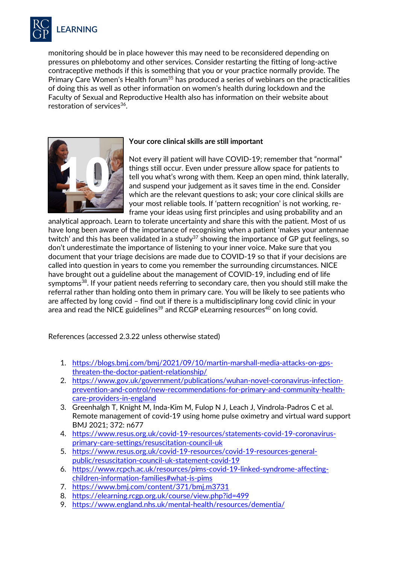

monitoring should be in place however this may need to be reconsidered depending on pressures on phlebotomy and other services. Consider restarting the fitting of long-active contraceptive methods if this is something that you or your practice normally provide. The Primary Care Women's Health forum<sup>35</sup> has produced a series of webinars on the practicalities of doing this as well as other information on women's health during lockdown and the Faculty of Sexual and Reproductive Health also has information on their website about restoration of services<sup>36</sup>.



# **Your core clinical skills are still important**

Not every ill patient will have COVID-19; remember that "normal" things still occur. Even under pressure allow space for patients to tell you what's wrong with them. Keep an open mind, think laterally, and suspend your judgement as it saves time in the end. Consider which are the relevant questions to ask; your core clinical skills are your most reliable tools. If 'pattern recognition' is not working, reframe your ideas using first principles and using probability and an

analytical approach. Learn to tolerate uncertainty and share this with the patient. Most of us have long been aware of the importance of recognising when a patient 'makes your antennae twitch' and this has been validated in a study<sup>37</sup> showing the importance of GP gut feelings, so don't underestimate the importance of listening to your inner voice. Make sure that you document that your triage decisions are made due to COVID-19 so that if your decisions are called into question in years to come you remember the surrounding circumstances. NICE have brought out a guideline about the management of COVID-19, including end of life symptoms<sup>38</sup>. If your patient needs referring to secondary care, then you should still make the referral rather than holding onto them in primary care. You will be likely to see patients who are affected by long covid – find out if there is a multidisciplinary long covid clinic in your area and read the NICE guidelines<sup>39</sup> and RCGP eLearning resources<sup>40</sup> on long covid.

References (accessed 2.3.22 unless otherwise stated)

- 1. [https://blogs.bmj.com/bmj/2021/09/10/martin-marshall-media-attacks-on-gps](https://blogs.bmj.com/bmj/2021/09/10/martin-marshall-media-attacks-on-gps-threaten-the-doctor-patient-relationship/)[threaten-the-doctor-patient-relationship/](https://blogs.bmj.com/bmj/2021/09/10/martin-marshall-media-attacks-on-gps-threaten-the-doctor-patient-relationship/)
- 2. https://www.gov.uk/government/publications/wuhan-novel-coronavirus-infectionprevention-and-control/new-recommendations-for-primary-and-community-healthcare-providers-in-england
- 3. Greenhalgh T, Knight M, Inda-Kim M, Fulop N J, Leach J, Vindrola-Padros C et al. Remote management of covid-19 using home pulse oximetry and virtual ward support BMJ 2021; 372: n677
- 4. [https://www.resus.org.uk/covid-19-resources/statements-covid-19-coronavirus](https://www.resus.org.uk/covid-19-resources/statements-covid-19-coronavirus-primary-care-settings/resuscitation-council-uk)[primary-care-settings/resuscitation-council-uk](https://www.resus.org.uk/covid-19-resources/statements-covid-19-coronavirus-primary-care-settings/resuscitation-council-uk)
- 5. [https://www.resus.org.uk/covid-19-resources/covid-19-resources-general](https://www.resus.org.uk/covid-19-resources/covid-19-resources-general-public/resuscitation-council-uk-statement-covid-19)[public/resuscitation-council-uk-statement-covid-19](https://www.resus.org.uk/covid-19-resources/covid-19-resources-general-public/resuscitation-council-uk-statement-covid-19)
- 6. [https://www.rcpch.ac.uk/resources/pims-covid-19-linked-syndrome-affecting](https://www.rcpch.ac.uk/resources/pims-covid-19-linked-syndrome-affecting-children-information-families#what-is-pims)[children-information-families#what-is-pims](https://www.rcpch.ac.uk/resources/pims-covid-19-linked-syndrome-affecting-children-information-families#what-is-pims)
- 7. <https://www.bmj.com/content/371/bmj.m3731>
- 8. <https://elearning.rcgp.org.uk/course/view.php?id=499>
- 9. <https://www.england.nhs.uk/mental-health/resources/dementia/>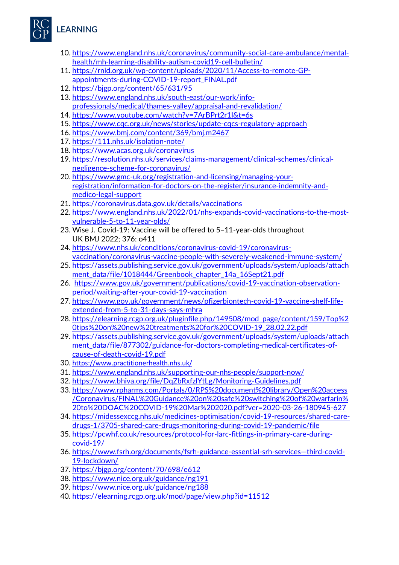

- 10. [https://www.england.nhs.uk/coronavirus/community-social-care-ambulance/mental](https://www.england.nhs.uk/coronavirus/community-social-care-ambulance/mental-health/mh-learning-disability-autism-covid19-cell-bulletin/)[health/mh-learning-disability-autism-covid19-cell-bulletin/](https://www.england.nhs.uk/coronavirus/community-social-care-ambulance/mental-health/mh-learning-disability-autism-covid19-cell-bulletin/)
- 11. [https://rnid.org.uk/wp-content/uploads/2020/11/Access-to-remote-GP](https://rnid.org.uk/wp-content/uploads/2020/11/Access-to-remote-GP-appointments-during-COVID-19-report_FINAL.pdf)[appointments-during-COVID-19-report\\_FINAL.pdf](https://rnid.org.uk/wp-content/uploads/2020/11/Access-to-remote-GP-appointments-during-COVID-19-report_FINAL.pdf)
- 12. <https://bjgp.org/content/65/631/95>
- 13. [https://www.england.nhs.uk/south-east/our-work/info](https://www.england.nhs.uk/south-east/our-work/info-professionals/medical/thames-valley/appraisal-and-revalidation/)[professionals/medical/thames-valley/appraisal-and-revalidation/](https://www.england.nhs.uk/south-east/our-work/info-professionals/medical/thames-valley/appraisal-and-revalidation/)
- 14. <https://www.youtube.com/watch?v=7ArBPrt2r1I&t=6s>
- 15. <https://www.cqc.org.uk/news/stories/update-cqcs-regulatory-approach>
- 16. <https://www.bmj.com/content/369/bmj.m2467>
- 17. <https://111.nhs.uk/isolation-note/>
- 18. <https://www.acas.org.uk/coronavirus>
- 19. [https://resolution.nhs.uk/services/claims-management/clinical-schemes/clinical](https://resolution.nhs.uk/services/claims-management/clinical-schemes/clinical-negligence-scheme-for-coronavirus/)[negligence-scheme-for-coronavirus/](https://resolution.nhs.uk/services/claims-management/clinical-schemes/clinical-negligence-scheme-for-coronavirus/)
- 20. [https://www.gmc-uk.org/registration-and-licensing/managing-your](https://www.gmc-uk.org/registration-and-licensing/managing-your-registration/information-for-doctors-on-the-register/insurance-indemnity-and-medico-legal-support)[registration/information-for-doctors-on-the-register/insurance-indemnity-and](https://www.gmc-uk.org/registration-and-licensing/managing-your-registration/information-for-doctors-on-the-register/insurance-indemnity-and-medico-legal-support)[medico-legal-support](https://www.gmc-uk.org/registration-and-licensing/managing-your-registration/information-for-doctors-on-the-register/insurance-indemnity-and-medico-legal-support)
- 21. <https://coronavirus.data.gov.uk/details/vaccinations>
- 22. [https://www.england.nhs.uk/2022/01/nhs-expands-covid-vaccinations-to-the-most](https://www.england.nhs.uk/2022/01/nhs-expands-covid-vaccinations-to-the-most-vulnerable-5-to-11-year-olds/)[vulnerable-5-to-11-year-olds/](https://www.england.nhs.uk/2022/01/nhs-expands-covid-vaccinations-to-the-most-vulnerable-5-to-11-year-olds/)
- 23. Wise J. Covid-19: Vaccine will be offered to 5–11-year-olds throughout UK BMJ 2022; 376: o411
- 24. [https://www.nhs.uk/conditions/coronavirus-covid-19/coronavirus](https://www.nhs.uk/conditions/coronavirus-covid-19/coronavirus-vaccination/coronavirus-vaccine-people-with-severely-weakened-immune-system/)[vaccination/coronavirus-vaccine-people-with-severely-weakened-immune-system/](https://www.nhs.uk/conditions/coronavirus-covid-19/coronavirus-vaccination/coronavirus-vaccine-people-with-severely-weakened-immune-system/)
- 25. [https://assets.publishing.service.gov.uk/government/uploads/system/uploads/attach](https://assets.publishing.service.gov.uk/government/uploads/system/uploads/attachment_data/file/1018444/Greenbook_chapter_14a_16Sept21.pdf) [ment\\_data/file/1018444/Greenbook\\_chapter\\_14a\\_16Sept21.pdf](https://assets.publishing.service.gov.uk/government/uploads/system/uploads/attachment_data/file/1018444/Greenbook_chapter_14a_16Sept21.pdf)
- 26. [https://www.gov.uk/government/publications/covid-19-vaccination-observation](https://www.gov.uk/government/publications/covid-19-vaccination-observation-period/waiting-after-your-covid-19-vaccination)[period/waiting-after-your-covid-19-vaccination](https://www.gov.uk/government/publications/covid-19-vaccination-observation-period/waiting-after-your-covid-19-vaccination)
- 27. [https://www.gov.uk/government/news/pfizerbiontech-covid-19-vaccine-shelf-life](https://www.gov.uk/government/news/pfizerbiontech-covid-19-vaccine-shelf-life-extended-from-5-to-31-days-says-mhra)[extended-from-5-to-31-days-says-mhra](https://www.gov.uk/government/news/pfizerbiontech-covid-19-vaccine-shelf-life-extended-from-5-to-31-days-says-mhra)
- 28. [https://elearning.rcgp.org.uk/pluginfile.php/149508/mod\\_page/content/159/Top%2](https://elearning.rcgp.org.uk/pluginfile.php/149508/mod_page/content/159/Top%20tips%20on%20new%20treatments%20for%20COVID-19_28.02.22.pdf) [0tips%20on%20new%20treatments%20for%20COVID-19\\_28.02.22.pdf](https://elearning.rcgp.org.uk/pluginfile.php/149508/mod_page/content/159/Top%20tips%20on%20new%20treatments%20for%20COVID-19_28.02.22.pdf)
- 29. [https://assets.publishing.service.gov.uk/government/uploads/system/uploads/attach](https://assets.publishing.service.gov.uk/government/uploads/system/uploads/attachment_data/file/877302/guidance-for-doctors-completing-medical-certificates-of-cause-of-death-covid-19.pdf) [ment\\_data/file/877302/guidance-for-doctors-completing-medical-certificates-of](https://assets.publishing.service.gov.uk/government/uploads/system/uploads/attachment_data/file/877302/guidance-for-doctors-completing-medical-certificates-of-cause-of-death-covid-19.pdf)[cause-of-death-covid-19.pdf](https://assets.publishing.service.gov.uk/government/uploads/system/uploads/attachment_data/file/877302/guidance-for-doctors-completing-medical-certificates-of-cause-of-death-covid-19.pdf)
- 30. <https://www.practitionerhealth.nhs.uk/>
- 31. <https://www.england.nhs.uk/supporting-our-nhs-people/support-now/>
- 32. <https://www.bhiva.org/file/DqZbRxfzlYtLg/Monitoring-Guidelines.pdf>
- 33. [https://www.rpharms.com/Portals/0/RPS%20document%20library/Open%20access](https://www.rpharms.com/Portals/0/RPS%20document%20library/Open%20access/Coronavirus/FINAL%20Guidance%20on%20safe%20switching%20of%20warfarin%20to%20DOAC%20COVID-19%20Mar%202020.pdf?ver=2020-03-26-180945-627) [/Coronavirus/FINAL%20Guidance%20on%20safe%20switching%20of%20warfarin%](https://www.rpharms.com/Portals/0/RPS%20document%20library/Open%20access/Coronavirus/FINAL%20Guidance%20on%20safe%20switching%20of%20warfarin%20to%20DOAC%20COVID-19%20Mar%202020.pdf?ver=2020-03-26-180945-627) [20to%20DOAC%20COVID-19%20Mar%202020.pdf?ver=2020-03-26-180945-627](https://www.rpharms.com/Portals/0/RPS%20document%20library/Open%20access/Coronavirus/FINAL%20Guidance%20on%20safe%20switching%20of%20warfarin%20to%20DOAC%20COVID-19%20Mar%202020.pdf?ver=2020-03-26-180945-627)
- 34. [https://midessexccg.nhs.uk/medicines-optimisation/covid-19-resources/shared-care](https://midessexccg.nhs.uk/medicines-optimisation/covid-19-resources/shared-care-drugs-1/3705-shared-care-drugs-monitoring-during-covid-19-pandemic/file)[drugs-1/3705-shared-care-drugs-monitoring-during-covid-19-pandemic/file](https://midessexccg.nhs.uk/medicines-optimisation/covid-19-resources/shared-care-drugs-1/3705-shared-care-drugs-monitoring-during-covid-19-pandemic/file)
- 35. [https://pcwhf.co.uk/resources/protocol-for-larc-fittings-in-primary-care-during](https://pcwhf.co.uk/resources/protocol-for-larc-fittings-in-primary-care-during-covid-19/)[covid-19/](https://pcwhf.co.uk/resources/protocol-for-larc-fittings-in-primary-care-during-covid-19/)
- 36. [https://www.fsrh.org/documents/fsrh-guidance-essential-srh-services—third-covid-](https://www.fsrh.org/documents/fsrh-guidance-essential-srh-services--third-covid-19-lockdown/)[19-lockdown/](https://www.fsrh.org/documents/fsrh-guidance-essential-srh-services--third-covid-19-lockdown/)
- 37. <https://bjgp.org/content/70/698/e612>
- 38. <https://www.nice.org.uk/guidance/ng191>
- 39. <https://www.nice.org.uk/guidance/ng188>
- 40. <https://elearning.rcgp.org.uk/mod/page/view.php?id=11512>